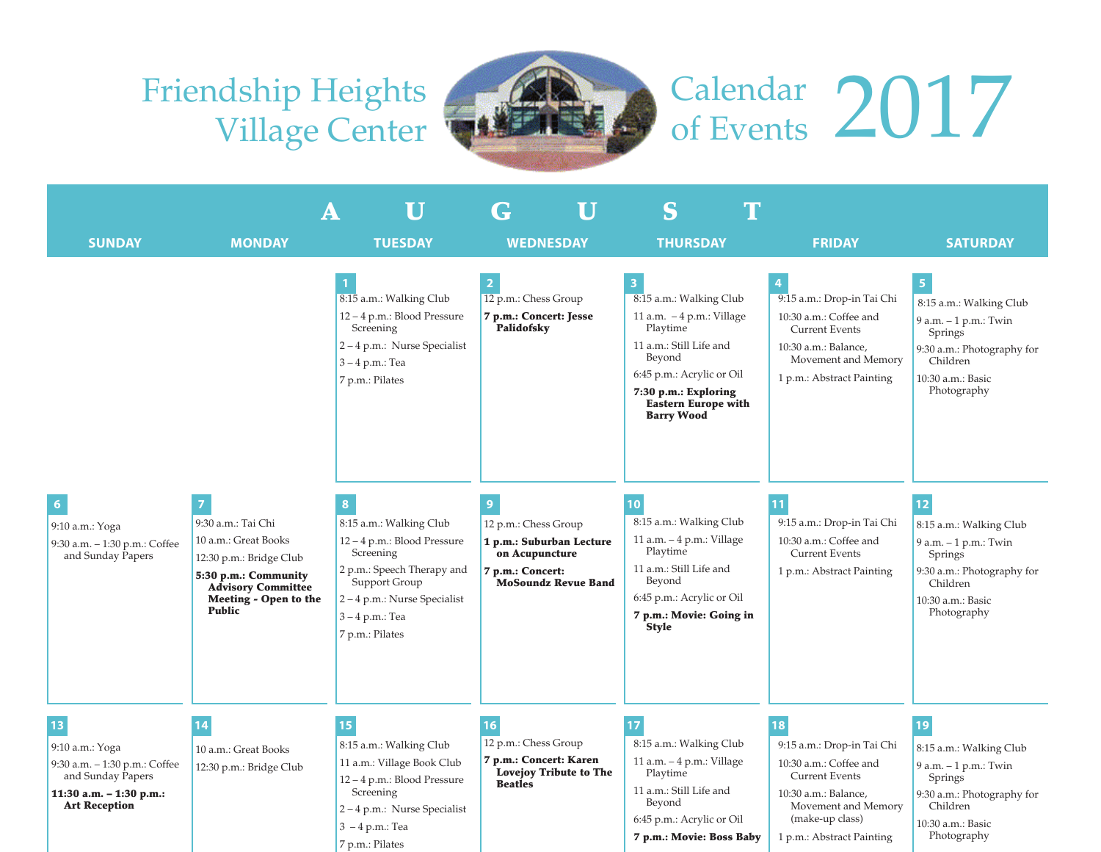## Friendship Heights Village Center



## Calendar 2017

|                                                                                                                                |                                                                                                                                                                                       | $\mathbf U$<br>A                                                                                                                                                                                                                                                                                                                              | U<br>G                                                                                                                                                                                                                     | $\mathbf T$<br>S                                                                                                                                                                                                                                                                                                                                                                                                         |                                                                                                                                                                                                                                                                                          |                                                                                                                                                                                                                                                                                                           |
|--------------------------------------------------------------------------------------------------------------------------------|---------------------------------------------------------------------------------------------------------------------------------------------------------------------------------------|-----------------------------------------------------------------------------------------------------------------------------------------------------------------------------------------------------------------------------------------------------------------------------------------------------------------------------------------------|----------------------------------------------------------------------------------------------------------------------------------------------------------------------------------------------------------------------------|--------------------------------------------------------------------------------------------------------------------------------------------------------------------------------------------------------------------------------------------------------------------------------------------------------------------------------------------------------------------------------------------------------------------------|------------------------------------------------------------------------------------------------------------------------------------------------------------------------------------------------------------------------------------------------------------------------------------------|-----------------------------------------------------------------------------------------------------------------------------------------------------------------------------------------------------------------------------------------------------------------------------------------------------------|
|                                                                                                                                |                                                                                                                                                                                       |                                                                                                                                                                                                                                                                                                                                               |                                                                                                                                                                                                                            |                                                                                                                                                                                                                                                                                                                                                                                                                          |                                                                                                                                                                                                                                                                                          |                                                                                                                                                                                                                                                                                                           |
| <b>SUNDAY</b><br>9:10 a.m.: Yoga<br>9:30 a.m. - 1:30 p.m.: Coffee<br>and Sunday Papers                                         | <b>MONDAY</b><br>9:30 a.m.: Tai Chi<br>10 a.m.: Great Books<br>12:30 p.m.: Bridge Club<br>5:30 p.m.: Community<br><b>Advisory Committee</b><br>Meeting - Open to the<br><b>Public</b> | <b>TUESDAY</b><br>8:15 a.m.: Walking Club<br>12 - 4 p.m.: Blood Pressure<br>Screening<br>2-4 p.m.: Nurse Specialist<br>3-4 p.m.: Tea<br>7 p.m.: Pilates<br>8:15 a.m.: Walking Club<br>12-4 p.m.: Blood Pressure<br>Screening<br>2 p.m.: Speech Therapy and<br>Support Group<br>2-4 p.m.: Nurse Specialist<br>3-4 p.m.: Tea<br>7 p.m.: Pilates | <b>WEDNESDAY</b><br>12 p.m.: Chess Group<br>7 p.m.: Concert: Jesse<br>Palidofsky<br>$\overline{9}$<br>12 p.m.: Chess Group<br>1 p.m.: Suburban Lecture<br>on Acupuncture<br>7 p.m.: Concert:<br><b>MoSoundz Revue Band</b> | <b>THURSDAY</b><br>8:15 a.m.: Walking Club<br>11 a.m. $-4$ p.m.: Village<br>Playtime<br>11 a.m.: Still Life and<br>Beyond<br>6:45 p.m.: Acrylic or Oil<br>7:30 p.m.: Exploring<br><b>Eastern Europe with</b><br><b>Barry Wood</b><br>10<br>8:15 a.m.: Walking Club<br>11 a.m. - 4 p.m.: Village<br>Playtime<br>11 a.m.: Still Life and<br>Beyond<br>6:45 p.m.: Acrylic or Oil<br>7 p.m.: Movie: Going in<br><b>Style</b> | <b>FRIDAY</b><br>9:15 a.m.: Drop-in Tai Chi<br>10:30 a.m.: Coffee and<br><b>Current Events</b><br>10:30 a.m.: Balance,<br>Movement and Memory<br>1 p.m.: Abstract Painting<br>9:15 a.m.: Drop-in Tai Chi<br>10:30 a.m.: Coffee and<br><b>Current Events</b><br>1 p.m.: Abstract Painting | <b>SATURDAY</b><br>8:15 a.m.: Walking Club<br>9 a.m. - 1 p.m.: Twin<br>Springs<br>9:30 a.m.: Photography for<br>Children<br>10:30 a.m.: Basic<br>Photography<br>8:15 a.m.: Walking Club<br>9 a.m. - 1 p.m.: Twin<br>Springs<br>9:30 a.m.: Photography for<br>Children<br>10:30 a.m.: Basic<br>Photography |
| 13<br>9:10 a.m.: Yoga<br>9:30 a.m. - 1:30 p.m.: Coffee<br>and Sunday Papers<br>11:30 a.m. - 1:30 p.m.:<br><b>Art Reception</b> | 14<br>10 a.m.: Great Books<br>12:30 p.m.: Bridge Club                                                                                                                                 | 15<br>8:15 a.m.: Walking Club<br>11 a.m.: Village Book Club<br>12-4 p.m.: Blood Pressure<br>Screening<br>2-4 p.m.: Nurse Specialist<br>$3 - 4 p.m.:$ Tea<br>7 p.m.: Pilates                                                                                                                                                                   | 16<br>12 p.m.: Chess Group<br>7 p.m.: Concert: Karen<br><b>Lovejoy Tribute to The</b><br><b>Beatles</b>                                                                                                                    | 8:15 a.m.: Walking Club<br>11 a.m. - 4 p.m.: Village<br>Playtime<br>11 a.m.: Still Life and<br>Beyond<br>6:45 p.m.: Acrylic or Oil<br>7 p.m.: Movie: Boss Baby                                                                                                                                                                                                                                                           | 18<br>9:15 a.m.: Drop-in Tai Chi<br>10:30 a.m.: Coffee and<br><b>Current Events</b><br>10:30 a.m.: Balance,<br>Movement and Memory<br>(make-up class)<br>1 p.m.: Abstract Painting                                                                                                       | 19<br>8:15 a.m.: Walking Club<br>9 a.m. - 1 p.m.: Twin<br>Springs<br>9:30 a.m.: Photography for<br>Children<br>10:30 a.m.: Basic<br>Photography                                                                                                                                                           |